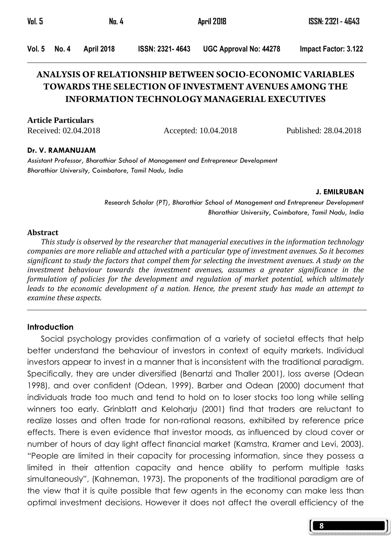| Vol. 5 |       | No. 4      |                        | April 2018                    | ISSN: 2321 - 4643    |  |
|--------|-------|------------|------------------------|-------------------------------|----------------------|--|
| Vol. 5 | No. 4 | April 2018 | <b>ISSN: 2321-4643</b> | <b>UGC Approval No: 44278</b> | Impact Factor: 3.122 |  |

# **ANALYSIS OF RELATIONSHIP BETWEEN SOCIO-ECONOMIC VARIABLES TOWARDS THE SELECTION OF INVESTMENT AVENUES AMONG THE INFORMATION TECHNOLOGY MANAGERIAL EXECUTIVES**

**Article Particulars**

Received: 02.04.2018 Accepted: 10.04.2018 Published: 28.04.2018

8

#### Dr. V. RAMANUJAM

Assistant Professor, Bharathiar School of Management and Entrepreneur Development Bharathiar University, Coimbatore, Tamil Nadu, India

#### J. EMILRUBAN

Research Scholar (PT), Bharathiar School of Management and Entrepreneur Development Bharathiar University, Coimbatore, Tamil Nadu, India

#### Abstract

 This study is observed by the researcher that managerial executives in the information technology companies are more reliable and attached with a particular type of investment avenues. So it becomes significant to study the factors that compel them for selecting the investment avenues. A study on the investment behaviour towards the investment avenues, assumes a greater significance in the formulation of policies for the development and regulation of market potential, which ultimately leads to the economic development of a nation. Hence, the present study has made an attempt to examine these aspects.

#### **Introduction**

 Social psychology provides confirmation of a variety of societal effects that help better understand the behaviour of investors in context of equity markets. Individual investors appear to invest in a manner that is inconsistent with the traditional paradigm. Specifically, they are under diversified (Benartzi and Thaller 2001), loss averse (Odean 1998), and over confident (Odean, 1999). Barber and Odean (2000) document that individuals trade too much and tend to hold on to loser stocks too long while selling winners too early. Grinblatt and Keloharju (2001) find that traders are reluctant to realize losses and often trade for non-rational reasons, exhibited by reference price effects. There is even evidence that investor moods, as influenced by cloud cover or number of hours of day light affect financial market (Kamstra, Kramer and Levi, 2003). "People are limited in their capacity for processing information, since they possess a limited in their attention capacity and hence ability to perform multiple tasks simultaneously", (Kahneman, 1973). The proponents of the traditional paradigm are of the view that it is quite possible that few agents in the economy can make less than optimal investment decisions. However it does not affect the overall efficiency of the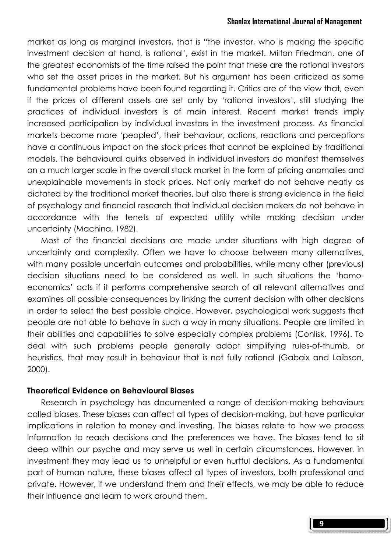#### Shanlax International Journal of Management

market as long as marginal investors, that is "the investor, who is making the specific investment decision at hand, is rational', exist in the market. Milton Friedman, one of the greatest economists of the time raised the point that these are the rational investors who set the asset prices in the market. But his argument has been criticized as some fundamental problems have been found regarding it. Critics are of the view that, even if the prices of different assets are set only by 'rational investors', still studying the practices of individual investors is of main interest. Recent market trends imply increased participation by individual investors in the investment process. As financial markets become more 'peopled', their behaviour, actions, reactions and perceptions have a continuous impact on the stock prices that cannot be explained by traditional models. The behavioural quirks observed in individual investors do manifest themselves on a much larger scale in the overall stock market in the form of pricing anomalies and unexplainable movements in stock prices. Not only market do not behave neatly as dictated by the traditional market theories, but also there is strong evidence in the field of psychology and financial research that individual decision makers do not behave in accordance with the tenets of expected utility while making decision under uncertainty (Machina, 1982).

 Most of the financial decisions are made under situations with high degree of uncertainty and complexity. Often we have to choose between many alternatives, with many possible uncertain outcomes and probabilities, while many other (previous) decision situations need to be considered as well. In such situations the 'homoeconomics' acts if it performs comprehensive search of all relevant alternatives and examines all possible consequences by linking the current decision with other decisions in order to select the best possible choice. However, psychological work suggests that people are not able to behave in such a way in many situations. People are limited in their abilities and capabilities to solve especially complex problems (Conlisk, 1996). To deal with such problems people generally adopt simplifying rules-of-thumb, or heuristics, that may result in behaviour that is not fully rational (Gabaix and Laibson, 2000).

#### Theoretical Evidence on Behavioural Biases

Research in psychology has documented a range of decision-making behaviours called biases. These biases can affect all types of decision-making, but have particular implications in relation to money and investing. The biases relate to how we process information to reach decisions and the preferences we have. The biases tend to sit deep within our psyche and may serve us well in certain circumstances. However, in investment they may lead us to unhelpful or even hurtful decisions. As a fundamental part of human nature, these biases affect all types of investors, both professional and private. However, if we understand them and their effects, we may be able to reduce their influence and learn to work around them.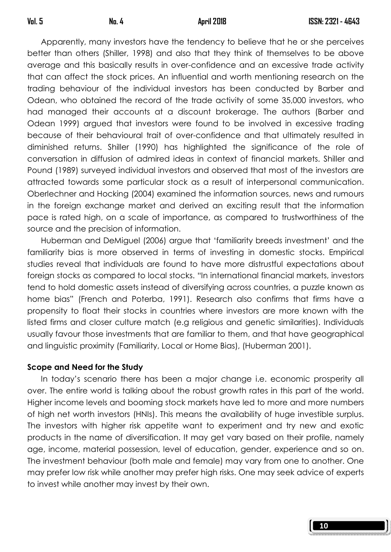10

 Apparently, many investors have the tendency to believe that he or she perceives better than others (Shiller, 1998) and also that they think of themselves to be above average and this basically results in over-confidence and an excessive trade activity that can affect the stock prices. An influential and worth mentioning research on the trading behaviour of the individual investors has been conducted by Barber and Odean, who obtained the record of the trade activity of some 35,000 investors, who had managed their accounts at a discount brokerage. The authors (Barber and Odean 1999) argued that investors were found to be involved in excessive trading because of their behavioural trait of over-confidence and that ultimately resulted in diminished returns. Shiller (1990) has highlighted the significance of the role of conversation in diffusion of admired ideas in context of financial markets. Shiller and Pound (1989) surveyed individual investors and observed that most of the investors are attracted towards some particular stock as a result of interpersonal communication. Oberlechner and Hocking (2004) examined the information sources, news and rumours in the foreign exchange market and derived an exciting result that the information pace is rated high, on a scale of importance, as compared to trustworthiness of the source and the precision of information.

 Huberman and DeMiguel (2006) argue that 'familiarity breeds investment' and the familiarity bias is more observed in terms of investing in domestic stocks. Empirical studies reveal that individuals are found to have more distrustful expectations about foreign stocks as compared to local stocks. "In international financial markets, investors tend to hold domestic assets instead of diversifying across countries, a puzzle known as home bias" (French and Poterba, 1991). Research also confirms that firms have a propensity to float their stocks in countries where investors are more known with the listed firms and closer culture match (e.g religious and genetic similarities). Individuals usually favour those investments that are familiar to them, and that have geographical and linguistic proximity (Familiarity, Local or Home Bias), (Huberman 2001).

#### Scope and Need for the Study

In today's scenario there has been a major change i.e. economic prosperity all over. The entire world is talking about the robust growth rates in this part of the world. Higher income levels and booming stock markets have led to more and more numbers of high net worth investors (HNIs). This means the availability of huge investible surplus. The investors with higher risk appetite want to experiment and try new and exotic products in the name of diversification. It may get vary based on their profile, namely age, income, material possession, level of education, gender, experience and so on. The investment behaviour (both male and female) may vary from one to another. One may prefer low risk while another may prefer high risks. One may seek advice of experts to invest while another may invest by their own.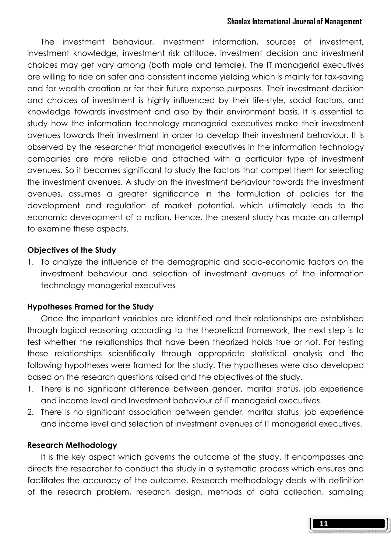#### Shanlax International Journal of Management

 The investment behaviour, investment information, sources of investment, investment knowledge, investment risk attitude, investment decision and investment choices may get vary among (both male and female). The IT managerial executives are willing to ride on safer and consistent income yielding which is mainly for tax-saving and for wealth creation or for their future expense purposes. Their investment decision and choices of investment is highly influenced by their life-style, social factors, and knowledge towards investment and also by their environment basis. It is essential to study how the information technology managerial executives make their investment avenues towards their investment in order to develop their investment behaviour. It is observed by the researcher that managerial executives in the information technology companies are more reliable and attached with a particular type of investment avenues. So it becomes significant to study the factors that compel them for selecting the investment avenues. A study on the investment behaviour towards the investment avenues, assumes a greater significance in the formulation of policies for the development and regulation of market potential, which ultimately leads to the economic development of a nation. Hence, the present study has made an attempt to examine these aspects.

#### Objectives of the Study

1. To analyze the influence of the demographic and socio-economic factors on the investment behaviour and selection of investment avenues of the information technology managerial executives

#### Hypotheses Framed for the Study

 Once the important variables are identified and their relationships are established through logical reasoning according to the theoretical framework, the next step is to test whether the relationships that have been theorized holds true or not. For testing these relationships scientifically through appropriate statistical analysis and the following hypotheses were framed for the study. The hypotheses were also developed based on the research questions raised and the objectives of the study.

- 1. There is no significant difference between gender, marital status, job experience and income level and Investment behaviour of IT managerial executives.
- 2. There is no significant association between gender, marital status, job experience and income level and selection of investment avenues of IT managerial executives.

#### Research Methodology

 It is the key aspect which governs the outcome of the study. It encompasses and directs the researcher to conduct the study in a systematic process which ensures and facilitates the accuracy of the outcome. Research methodology deals with definition of the research problem, research design, methods of data collection, sampling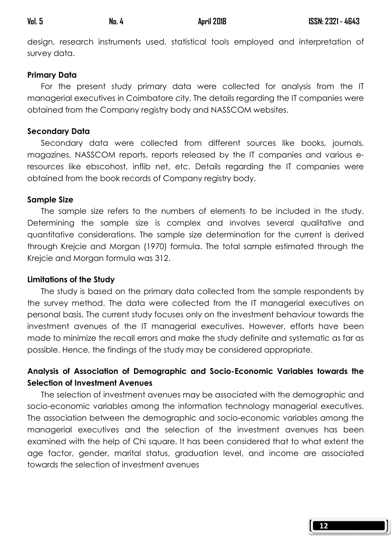| Val. 5 | No. 4 | <b>April 2018</b> |
|--------|-------|-------------------|
|--------|-------|-------------------|

design, research instruments used, statistical tools employed and interpretation of survey data.

### Primary Data

For the present study primary data were collected for analysis from the IT managerial executives in Coimbatore city. The details regarding the IT companies were obtained from the Company registry body and NASSCOM websites.

### Secondary Data

 Secondary data were collected from different sources like books, journals, magazines, NASSCOM reports, reports released by the IT companies and various eresources like ebscohost, inflib net, etc. Details regarding the IT companies were obtained from the book records of Company registry body.

### Sample Size

 The sample size refers to the numbers of elements to be included in the study. Determining the sample size is complex and involves several qualitative and quantitative considerations. The sample size determination for the current is derived through Krejcie and Morgan (1970) formula. The total sample estimated through the Krejcie and Morgan formula was 312.

### Limitations of the Study

The study is based on the primary data collected from the sample respondents by the survey method. The data were collected from the IT managerial executives on personal basis. The current study focuses only on the investment behaviour towards the investment avenues of the IT managerial executives. However, efforts have been made to minimize the recall errors and make the study definite and systematic as far as possible. Hence, the findings of the study may be considered appropriate.

# Analysis of Association of Demographic and Socio-Economic Variables towards the Selection of Investment Avenues

 The selection of investment avenues may be associated with the demographic and socio-economic variables among the information technology managerial executives. The association between the demographic and socio-economic variables among the managerial executives and the selection of the investment avenues has been examined with the help of Chi square. It has been considered that to what extent the age factor, gender, marital status, graduation level, and income are associated towards the selection of investment avenues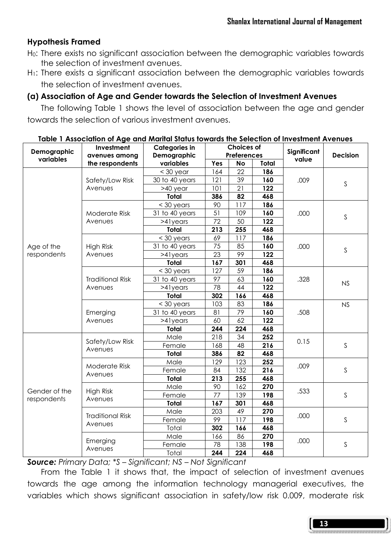### Hypothesis Framed

- H0: There exists no significant association between the demographic variables towards the selection of investment avenues.
- H<sub>1</sub>: There exists a significant association between the demographic variables towards the selection of investment avenues.

### (a) Association of Age and Gender towards the Selection of Investment Avenues

The following Table 1 shows the level of association between the age and gender towards the selection of various investment avenues.

| Demographic   | Investment<br>avenues among        | <b>Categories in</b> |                    | <b>Choices of</b> |                  | Significant |                 |
|---------------|------------------------------------|----------------------|--------------------|-------------------|------------------|-------------|-----------------|
| variables     |                                    | Demographic          | <b>Preferences</b> |                   |                  | value       | <b>Decision</b> |
|               | the respondents                    | variables            | Yes                | No                | Total            |             |                 |
|               |                                    | $<$ 30 year          | 164                | 22                | 186              |             |                 |
|               | Safety/Low Risk                    | 30 to 40 years       | 121                | 39                | 160              | .009        | S               |
|               | Avenues                            | >40 year             | 101                | 21                | 122              |             |                 |
|               |                                    | Total                | 386                | 82                | 468              |             |                 |
|               |                                    | $<$ 30 years         | 90                 | 117               | 186              |             |                 |
|               | Moderate Risk                      | 31 to 40 years       | 51                 | 109               | 160              | .000        | S               |
|               | Avenues                            | >41years             | 72                 | 50                | 122              |             |                 |
|               |                                    | Total                | 213                | 255               | 468              |             |                 |
|               |                                    | $<$ 30 years         | 69                 | $\overline{117}$  | 186              |             |                 |
| Age of the    | High Risk                          | 31 to 40 years       | 75                 | 85                | 160              | .000        | S               |
| respondents   | Avenues                            | $>4$ lyears          | $\overline{23}$    | 99                | 122              |             |                 |
|               |                                    | Total                | 167                | 301               | 468              |             |                 |
|               |                                    | $<$ 30 years         | 127                | 59                | 186              |             |                 |
|               | <b>Traditional Risk</b><br>Avenues | 31 to 40 years       | 97                 | 63                | 160              | .328        | NS              |
|               |                                    | $>4$ lyears          | 78                 | 44                | $\overline{122}$ |             |                 |
|               |                                    | <b>Total</b>         | 302                | 166               | 468              |             |                 |
|               |                                    | $<$ 30 years         | 103                | 83                | 186              |             | <b>NS</b>       |
|               | Emerging                           | 31 to 40 years       | 81                 | 79                | 160              | .508        |                 |
|               | Avenues                            | $>4$ lyears          | 60                 | 62                | 122              |             |                 |
|               |                                    | <b>Total</b>         | 244                | 224               | 468              |             |                 |
|               | Safety/Low Risk<br>Avenues         | Male                 | 218                | 34                | 252              |             | S               |
|               |                                    | Female               | 168                | 48                | 216              | 0.15        |                 |
|               |                                    | Total                | 386                | 82                | 468              |             |                 |
|               | Moderate Risk                      | Male                 | 129                | 123               | $\overline{252}$ |             |                 |
|               |                                    | Female               | 84                 | 132               | 216              | .009        | S               |
|               | Avenues                            | Total                | 213                | 255               | 468              |             |                 |
|               |                                    | Male                 | 90                 | 162               | 270              |             |                 |
| Gender of the | <b>High Risk</b>                   | Female               | 77                 | 139               | 198              | .533        | S               |
| respondents   | Avenues                            | Total                | 167                | 301               | 468              |             |                 |
|               |                                    | Male                 | 203                | 49                | 270              |             |                 |
|               | <b>Traditional Risk</b>            | Female               | 99                 | 117               | 198              | .000        | S               |
|               | Avenues                            | Total                | 302                | 166               | 468              |             |                 |
|               |                                    | Male                 | 166                | 86                | 270              |             |                 |
|               | Emerging                           | Female               | 78                 | 138               | 198              | .000        | S               |
|               | Avenues                            | Total                | 244                | 224               | 468              |             |                 |

#### Table 1 Association of Age and Marital Status towards the Selection of Investment Avenues

**Source:** Primary Data; \*S – Significant; NS – Not Significant

 From the Table 1 it shows that, the impact of selection of investment avenues towards the age among the information technology managerial executives, the variables which shows significant association in safety/low risk 0.009, moderate risk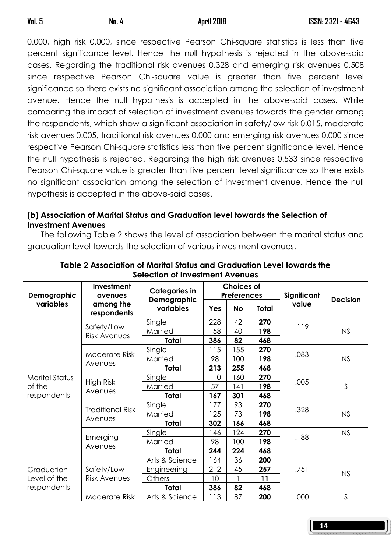0.000, high risk 0.000, since respective Pearson Chi-square statistics is less than five percent significance level. Hence the null hypothesis is rejected in the above-said cases. Regarding the traditional risk avenues 0.328 and emerging risk avenues 0.508 since respective Pearson Chi-square value is greater than five percent level significance so there exists no significant association among the selection of investment avenue. Hence the null hypothesis is accepted in the above-said cases. While comparing the impact of selection of investment avenues towards the gender among the respondents, which show a significant association in safety/low risk 0.015, moderate risk avenues 0.005, traditional risk avenues 0.000 and emerging risk avenues 0.000 since respective Pearson Chi-square statistics less than five percent significance level. Hence the null hypothesis is rejected. Regarding the high risk avenues 0.533 since respective Pearson Chi-square value is greater than five percent level significance so there exists no significant association among the selection of investment avenue. Hence the null hypothesis is accepted in the above-said cases.

# (b) Association of Marital Status and Graduation level towards the Selection of Investment Avenues

The following Table 2 shows the level of association between the marital status and graduation level towards the selection of various investment avenues.

| Demographic    | Investment<br>avenues              | <b>Categories in</b><br>Demographic |     | <b>Choices of</b><br><b>Preferences</b> |              | Significant<br>value | <b>Decision</b> |
|----------------|------------------------------------|-------------------------------------|-----|-----------------------------------------|--------------|----------------------|-----------------|
| variables      | among the<br>respondents           | variables                           | Yes | <b>No</b>                               | <b>Total</b> |                      |                 |
|                | Safety/Low                         | Single                              | 228 | 42                                      | 270          | .119                 |                 |
|                | <b>Risk Avenues</b>                | Married                             | 158 | 40                                      | 198          |                      | <b>NS</b>       |
|                |                                    | Total                               | 386 | 82                                      | 468          |                      |                 |
|                | Moderate Risk                      | Single                              | 115 | 155                                     | 270          |                      |                 |
|                | Avenues                            | Married                             | 98  | 100                                     | 198          | .083                 | <b>NS</b>       |
|                |                                    | <b>Total</b>                        | 213 | 255                                     | 468          |                      |                 |
| Marital Status | High Risk<br>Avenues               | Single                              | 110 | 160                                     | 270          | .005                 |                 |
| of the         |                                    | Married                             | 57  | 141                                     | 198          |                      | S               |
| respondents    |                                    | Total                               | 167 | 301                                     | 468          |                      |                 |
|                | <b>Traditional Risk</b><br>Avenues | Single                              | 177 | 93                                      | 270          | .328                 |                 |
|                |                                    | Married                             | 125 | 73                                      | 198          |                      | NS              |
|                |                                    | Total                               | 302 | 166                                     | 468          |                      |                 |
|                |                                    | Single                              | 146 | 124                                     | 270          |                      | <b>NS</b>       |
|                | Emerging                           | Married                             | 98  | 100                                     | 198          | .188                 |                 |
|                | Avenues                            | <b>Total</b>                        | 244 | 224                                     | 468          |                      |                 |
|                |                                    | Arts & Science                      | 164 | 36                                      | 200          |                      |                 |
| Graduation     | Safety/Low                         | Engineering                         | 212 | 45                                      | 257          | .751                 | <b>NS</b>       |
| Level of the   | <b>Risk Avenues</b>                | <b>Others</b>                       | 10  |                                         | 11           |                      |                 |
| respondents    |                                    | Total                               | 386 | 82                                      | 468          |                      |                 |
|                | Moderate Risk                      | Arts & Science                      | 113 | 87                                      | 200          | .000                 | S               |

Table 2 Association of Marital Status and Graduation Level towards the Selection of Investment Avenues

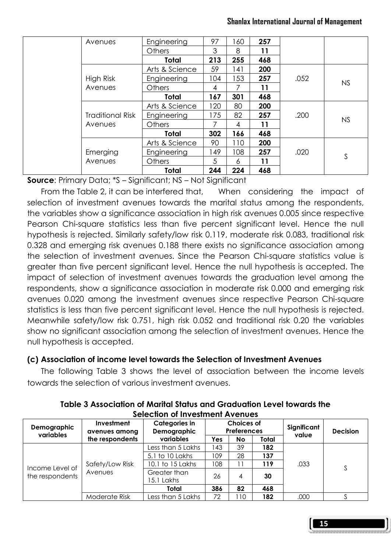|  | Avenues                 | Engineering    | 97  | 60  | 257 |      |           |
|--|-------------------------|----------------|-----|-----|-----|------|-----------|
|  |                         | <b>Others</b>  | 3   | 8   | 11  |      |           |
|  |                         | <b>Total</b>   | 213 | 255 | 468 |      |           |
|  |                         | Arts & Science | 59  | 141 | 200 |      |           |
|  | High Risk               | Engineering    | 104 | 53  | 257 | .052 |           |
|  | Avenues                 | Others         | 4   | 7   | 11  |      | NS        |
|  |                         | Total          | 167 | 301 | 468 |      |           |
|  |                         | Arts & Science | 120 | 80  | 200 |      |           |
|  | <b>Traditional Risk</b> | Engineering    | 175 | 82  | 257 | .200 |           |
|  | Avenues                 | <b>Others</b>  | 7   | 4   | 11  |      | <b>NS</b> |
|  |                         | Total          | 302 | 166 | 468 |      |           |
|  |                         | Arts & Science | 90  | 110 | 200 |      |           |
|  | Emerging                | Engineering    | 149 | 108 | 257 | .020 |           |
|  | Avenues                 | Others         | 5   | 6   | 11  |      | S         |
|  |                         | Total          | 244 | 224 | 468 |      |           |

Source: Primary Data; \*S - Significant; NS - Not Significant

 From the Table 2, it can be interfered that, When considering the impact of selection of investment avenues towards the marital status among the respondents, the variables show a significance association in high risk avenues 0.005 since respective Pearson Chi-square statistics less than five percent significant level. Hence the null hypothesis is rejected. Similarly safety/low risk 0.119, moderate risk 0.083, traditional risk 0.328 and emerging risk avenues 0.188 there exists no significance association among the selection of investment avenues. Since the Pearson Chi-square statistics value is greater than five percent significant level. Hence the null hypothesis is accepted. The impact of selection of investment avenues towards the graduation level among the respondents, show a significance association in moderate risk 0.000 and emerging risk avenues 0.020 among the investment avenues since respective Pearson Chi-square statistics is less than five percent significant level. Hence the null hypothesis is rejected. Meanwhile safety/low risk 0.751, high risk 0.052 and traditional risk 0.20 the variables show no significant association among the selection of investment avenues. Hence the null hypothesis is accepted.

## (c) Association of income level towards the Selection of Investment Avenues

The following Table 3 shows the level of association between the income levels towards the selection of various investment avenues.

| ,,,,,,,,,,,,,,,,,,,,,,,,,,,,,,,,,,,, |                             |                                     |                                         |    |       |             |                 |  |
|--------------------------------------|-----------------------------|-------------------------------------|-----------------------------------------|----|-------|-------------|-----------------|--|
| Demographic<br>variables             | Investment<br>avenues among | Categories in<br><b>Demographic</b> | <b>Choices of</b><br><b>Preferences</b> |    |       | Significant | <b>Decision</b> |  |
|                                      | the respondents             | variables                           | Yes                                     | No | Total | value       |                 |  |
|                                      | Safety/Low Risk<br>Avenues  | Less than 5 Lakhs                   | 43                                      | 39 | 182   | .033        | S               |  |
|                                      |                             | 5.1 to 10 Lakhs                     | 109                                     | 28 | 137   |             |                 |  |
| Income Level of                      |                             | 10.1 to 15 Lakhs                    | 08                                      | 11 | 119   |             |                 |  |
| the respondents                      |                             | Greater than<br>15.1 Lakhs          | 26                                      | 4  | 30    |             |                 |  |
|                                      |                             | Total                               | 386                                     | 82 | 468   |             |                 |  |
|                                      | Moderate Risk               | Less than 5 Lakhs                   | 72                                      | 10 | 182   | .000        |                 |  |

Table 3 Association of Marital Status and Graduation Level towards the Selection of Investment Avenues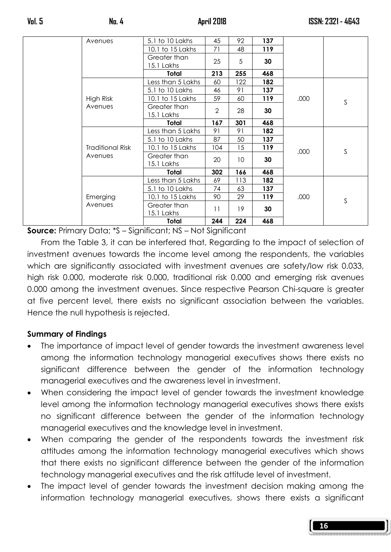|  | Avenues                            | 5.1 to 10 Lakhs            | 45              | 92              | 137 |      |   |
|--|------------------------------------|----------------------------|-----------------|-----------------|-----|------|---|
|  |                                    | 10.1 to 15 Lakhs           | 71              | 48              | 119 |      |   |
|  |                                    | Greater than<br>15.1 Lakhs | 25              | 5               | 30  |      |   |
|  |                                    | Total                      | 213             | 255             | 468 |      |   |
|  |                                    | Less than 5 Lakhs          | 60              | 122             | 182 |      |   |
|  |                                    | 5.1 to 10 Lakhs            | 46              | 91              | 137 |      |   |
|  | High Risk                          | 10.1 to 15 Lakhs           | 59              | 60              | 119 | .000 | S |
|  | Avenues                            | Greater than               |                 | 28              |     |      |   |
|  |                                    | 15.1 Lakhs                 | $\overline{2}$  |                 | 30  |      |   |
|  |                                    | Total                      | 167             | 301             | 468 |      |   |
|  | <b>Traditional Risk</b><br>Avenues | Less than 5 Lakhs          | 91              | 91              | 182 |      |   |
|  |                                    | 5.1 to 10 Lakhs            | 87              | 50              | 137 |      |   |
|  |                                    | 10.1 to 15 Lakhs           | 104             | 15              | 119 | .000 | S |
|  |                                    | Greater than<br>15.1 Lakhs | 20              | 10 <sup>°</sup> | 30  |      |   |
|  |                                    | Total                      | 302             | 166             | 468 |      |   |
|  | Emerging<br>Avenues                | Less than 5 Lakhs          | 69              | 113             | 182 |      |   |
|  |                                    | 5.1 to 10 Lakhs            | 74              | 63              | 137 |      |   |
|  |                                    | 10.1 to 15 Lakhs           | 90              | 29              | 119 | .000 |   |
|  |                                    | Greater than               |                 |                 |     |      | S |
|  |                                    | 15.1 Lakhs                 | $\overline{11}$ | 19              | 30  |      |   |
|  |                                    | Total                      | 244             | 224             | 468 |      |   |

Source: Primary Data; \*S – Significant; NS – Not Significant

 From the Table 3, it can be interfered that, Regarding to the impact of selection of investment avenues towards the income level among the respondents, the variables which are significantly associated with investment avenues are safety/low risk 0.033, high risk 0.000, moderate risk 0.000, traditional risk 0.000 and emerging risk avenues 0.000 among the investment avenues. Since respective Pearson Chi-square is greater at five percent level, there exists no significant association between the variables. Hence the null hypothesis is rejected.

# Summary of Findings

- The importance of impact level of gender towards the investment awareness level among the information technology managerial executives shows there exists no significant difference between the gender of the information technology managerial executives and the awareness level in investment.
- When considering the impact level of gender towards the investment knowledge level among the information technology managerial executives shows there exists no significant difference between the gender of the information technology managerial executives and the knowledge level in investment.
- When comparing the gender of the respondents towards the investment risk attitudes among the information technology managerial executives which shows that there exists no significant difference between the gender of the information technology managerial executives and the risk attitude level of investment.
- The impact level of gender towards the investment decision making among the information technology managerial executives, shows there exists a significant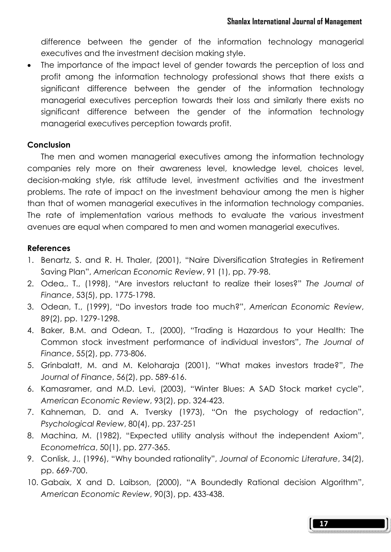difference between the gender of the information technology managerial executives and the investment decision making style.

• The importance of the impact level of gender towards the perception of loss and profit among the information technology professional shows that there exists a significant difference between the gender of the information technology managerial executives perception towards their loss and similarly there exists no significant difference between the gender of the information technology managerial executives perception towards profit.

### **Conclusion**

 The men and women managerial executives among the information technology companies rely more on their awareness level, knowledge level, choices level, decision-making style, risk attitude level, investment activities and the investment problems. The rate of impact on the investment behaviour among the men is higher than that of women managerial executives in the information technology companies. The rate of implementation various methods to evaluate the various investment avenues are equal when compared to men and women managerial executives.

#### References

- 1. Benartz, S. and R. H. Thaler, (2001), "Naire Diversification Strategies in Retirement Saving Plan", American Economic Review, 91 (1), pp. 79-98.
- 2. Odea,. T., (1998), "Are investors reluctant to realize their loses?" The Journal of Finance, 53(5), pp. 1775-1798.
- 3. Odean, T., (1999), "Do investors trade too much?", American Economic Review, 89(2), pp. 1279-1298.
- 4. Baker, B.M. and Odean, T., (2000), "Trading is Hazardous to your Health: The Common stock investment performance of individual investors", The Journal of Finance, 55(2), pp. 773-806.
- 5. Grinbalatt, M. and M. Keloharaja (2001), "What makes investors trade?", The Journal of Finance, 56(2), pp. 589-616.
- 6. Kamasramer, and M.D. Levi, (2003), "Winter Blues: A SAD Stock market cycle", American Economic Review, 93(2), pp. 324-423.
- 7. Kahneman, D. and A. Tversky (1973), "On the psychology of redaction", Psychological Review, 80(4), pp. 237-251
- 8. Machina, M. (1982), "Expected utility analysis without the independent Axiom", Econometrica, 50(1), pp. 277-365.
- 9. Conlisk, J., (1996), "Why bounded rationality", Journal of Economic Literature, 34(2), pp. 669-700.
- 10. Gabaix, X and D. Laibson, (2000), "A Boundedly Rational decision Algorithm", American Economic Review, 90(3), pp. 433-438.